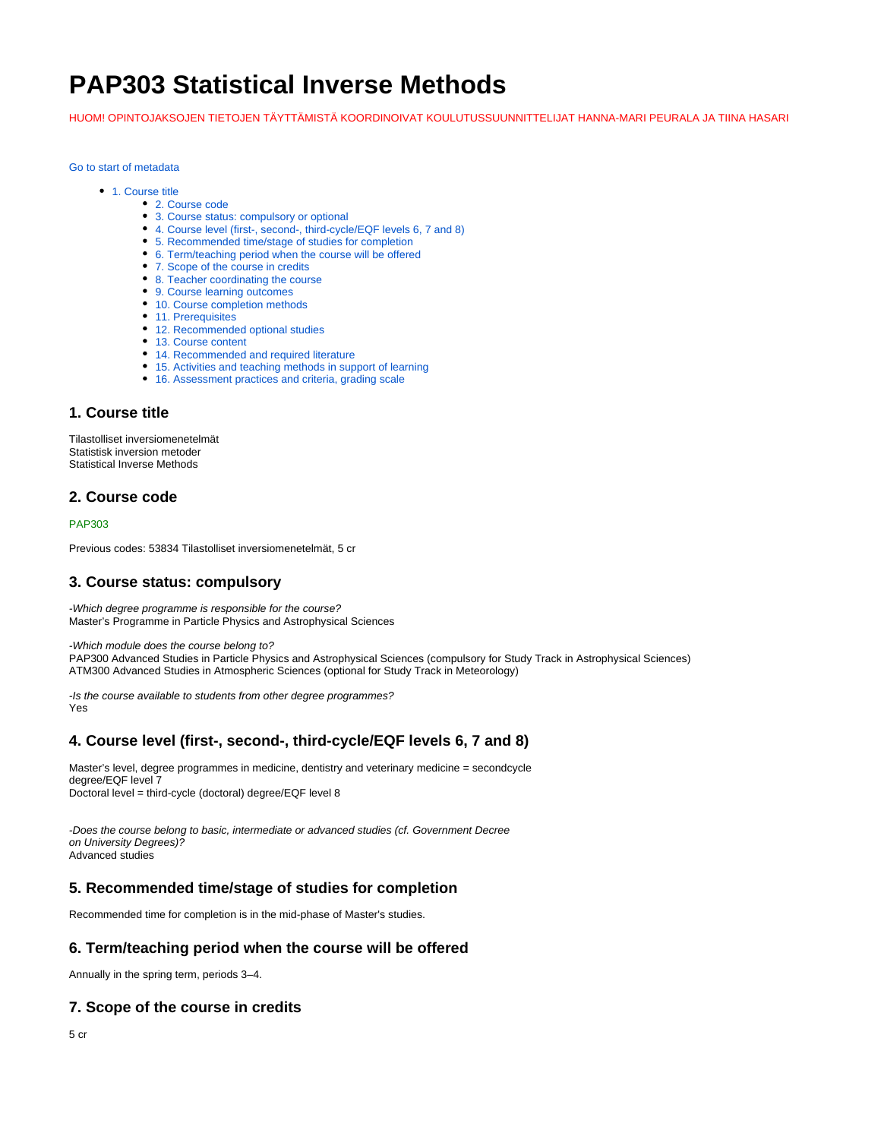# **PAP303 Statistical Inverse Methods**

HUOM! OPINTOJAKSOJEN TIETOJEN TÄYTTÄMISTÄ KOORDINOIVAT KOULUTUSSUUNNITTELIJAT HANNA-MARI PEURALA JA TIINA HASARI

[Go to start of metadata](https://wiki.helsinki.fi/display/opetussuunnitelma/Course+details#page-metadata-start)

- [1. Course title](https://wiki.helsinki.fi/display/opetussuunnitelma/Course+details#Coursedetails-1.Coursetitle)
	- [2. Course code](https://wiki.helsinki.fi/display/opetussuunnitelma/Course+details#Coursedetails-2.Coursecode)
	- [3. Course status: compulsory or optional](https://wiki.helsinki.fi/display/opetussuunnitelma/Course+details#Coursedetails-3.Coursestatus:compulsoryoroptional)
	- [4. Course level \(first-, second-, third-cycle/EQF levels 6, 7 and 8\)](https://wiki.helsinki.fi/display/opetussuunnitelma/Course+details#Coursedetails-4.Courselevel%28first-,second-,third-cycle/EQFlevels6,7and8%29)
	- [5. Recommended time/stage of studies for completion](https://wiki.helsinki.fi/display/opetussuunnitelma/Course+details#Coursedetails-5.Recommendedtime/stageofstudiesforcompletion)
	- [6. Term/teaching period when the course will be offered](https://wiki.helsinki.fi/display/opetussuunnitelma/Course+details#Coursedetails-6.Term/teachingperiodwhenthecoursewillbeoffered)
	- [7. Scope of the course in credits](https://wiki.helsinki.fi/display/opetussuunnitelma/Course+details#Coursedetails-7.Scopeofthecourseincredits)
	- [8. Teacher coordinating the course](https://wiki.helsinki.fi/display/opetussuunnitelma/Course+details#Coursedetails-8.Teachercoordinatingthecourse)
	- [9. Course learning outcomes](https://wiki.helsinki.fi/display/opetussuunnitelma/Course+details#Coursedetails-9.Courselearningoutcomes) • [10. Course completion methods](https://wiki.helsinki.fi/display/opetussuunnitelma/Course+details#Coursedetails-10.Coursecompletionmethods)
	-
	- [11. Prerequisites](https://wiki.helsinki.fi/display/opetussuunnitelma/Course+details#Coursedetails-11.Prerequisites)
	- [12. Recommended optional studies](https://wiki.helsinki.fi/display/opetussuunnitelma/Course+details#Coursedetails-12.Recommendedoptionalstudies)
	- [13. Course content](https://wiki.helsinki.fi/display/opetussuunnitelma/Course+details#Coursedetails-13.Coursecontent)
	- [14. Recommended and required literature](https://wiki.helsinki.fi/display/opetussuunnitelma/Course+details#Coursedetails-14.Recommendedandrequiredliterature)
	- [15. Activities and teaching methods in support of learning](https://wiki.helsinki.fi/display/opetussuunnitelma/Course+details#Coursedetails-15.Activitiesandteachingmethodsinsupportoflearning)
	- [16. Assessment practices and criteria, grading scale](https://wiki.helsinki.fi/display/opetussuunnitelma/Course+details#Coursedetails-16.Assessmentpracticesandcriteria,gradingscale)

## **1. Course title**

Tilastolliset inversiomenetelmät Statistisk inversion metoder Statistical Inverse Methods

## **2. Course code**

#### PAP303

Previous codes: 53834 Tilastolliset inversiomenetelmät, 5 cr

#### **3. Course status: compulsory**

-Which degree programme is responsible for the course? Master's Programme in Particle Physics and Astrophysical Sciences

-Which module does the course belong to?

PAP300 Advanced Studies in Particle Physics and Astrophysical Sciences (compulsory for Study Track in Astrophysical Sciences) ATM300 Advanced Studies in Atmospheric Sciences (optional for Study Track in Meteorology)

-Is the course available to students from other degree programmes? Yes

#### **4. Course level (first-, second-, third-cycle/EQF levels 6, 7 and 8)**

Master's level, degree programmes in medicine, dentistry and veterinary medicine = secondcycle degree/EQF level 7 Doctoral level = third-cycle (doctoral) degree/EQF level 8

-Does the course belong to basic, intermediate or advanced studies (cf. Government Decree on University Degrees)? Advanced studies

#### **5. Recommended time/stage of studies for completion**

Recommended time for completion is in the mid-phase of Master's studies.

## **6. Term/teaching period when the course will be offered**

Annually in the spring term, periods 3–4.

## **7. Scope of the course in credits**